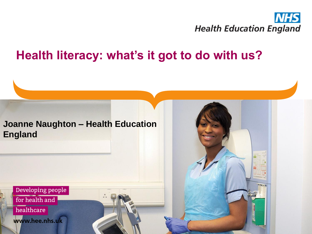

#### **Health literacy: what's it got to do with us?**



Developing people for health and

healthcare

www.hee.nhs.uk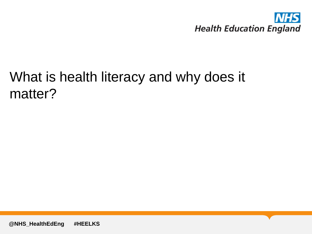

### What is health literacy and why does it matter?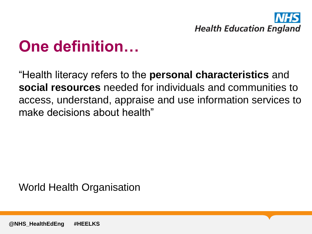

# **One definition…**

"Health literacy refers to the **personal characteristics** and **social resources** needed for individuals and communities to access, understand, appraise and use information services to make decisions about health"

World Health Organisation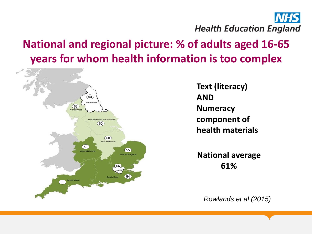

#### **National and regional picture: % of adults aged 16-65 years for whom health information is too complex**



**Text (literacy) AND Numeracy component of health materials**

**National average 61%**

*Rowlands et al (2015)*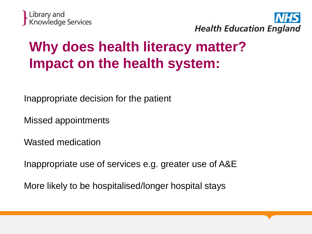



## **Why does health literacy matter? Impact on the health system:**

Inappropriate decision for the patient

Missed appointments

Wasted medication

Inappropriate use of services e.g. greater use of A&E

More likely to be hospitalised/longer hospital stays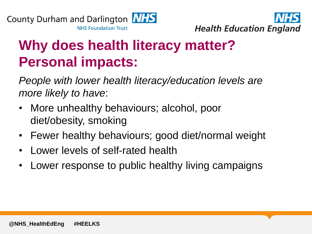



## **Why does health literacy matter? Personal impacts:**

*People with lower health literacy/education levels are more likely to have*:

- More unhealthy behaviours; alcohol, poor diet/obesity, smoking
- Fewer healthy behaviours; good diet/normal weight
- Lower levels of self-rated health
- Lower response to public healthy living campaigns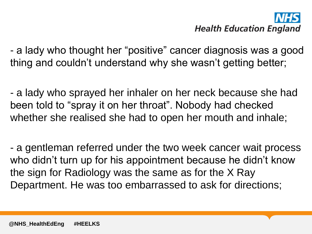# **Health Education England**

- a lady who thought her "positive" cancer diagnosis was a good thing and couldn't understand why she wasn't getting better;

- a lady who sprayed her inhaler on her neck because she had been told to "spray it on her throat". Nobody had checked whether she realised she had to open her mouth and inhale;

- a gentleman referred under the two week cancer wait process who didn't turn up for his appointment because he didn't know the sign for Radiology was the same as for the X Ray Department. He was too embarrassed to ask for directions;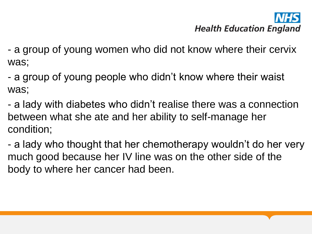# **Health Education England**

- a group of young women who did not know where their cervix was;

- a group of young people who didn't know where their waist was;

- a lady with diabetes who didn't realise there was a connection between what she ate and her ability to self-manage her condition;

- a lady who thought that her chemotherapy wouldn't do her very much good because her IV line was on the other side of the body to where her cancer had been.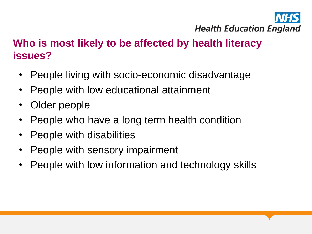

#### **Who is most likely to be affected by health literacy issues?**

- People living with socio-economic disadvantage
- People with low educational attainment
- Older people
- People who have a long term health condition
- People with disabilities
- People with sensory impairment
- People with low information and technology skills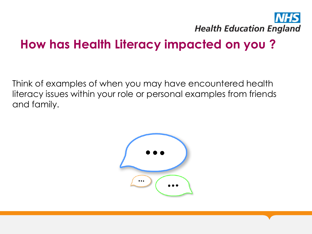

#### **How has Health Literacy impacted on you ?**

Think of examples of when you may have encountered health literacy issues within your role or personal examples from friends and family.

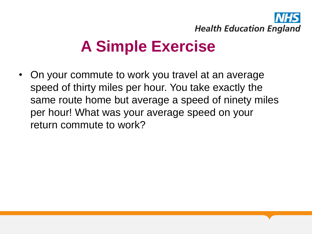

# **A Simple Exercise**

• On your commute to work you travel at an average speed of thirty miles per hour. You take exactly the same route home but average a speed of ninety miles per hour! What was your average speed on your return commute to work?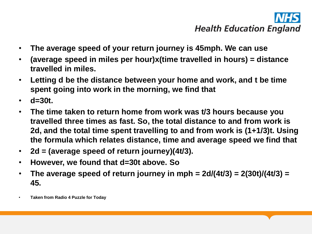# **Health Education England**

- **The average speed of your return journey is 45mph. We can use**
- **(average speed in miles per hour)x(time travelled in hours) = distance travelled in miles.**
- **Letting d be the distance between your home and work, and t be time spent going into work in the morning, we find that**
- **d=30t.**
- **The time taken to return home from work was t/3 hours because you travelled three times as fast. So, the total distance to and from work is 2d, and the total time spent travelling to and from work is (1+1/3)t. Using the formula which relates distance, time and average speed we find that**
- **2d = (average speed of return journey)(4t/3).**
- **However, we found that d=30t above. So**
- **The average speed of return journey in mph = 2d/(4t/3) = 2(30t)/(4t/3) = 45.**
- **Taken from Radio 4 Puzzle for Today**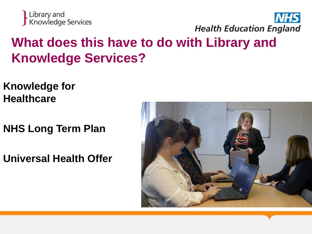



### **What does this have to do with Library and Knowledge Services?**

- **Knowledge for Healthcare**
- **NHS Long Term Plan**
- **Universal Health Offer**

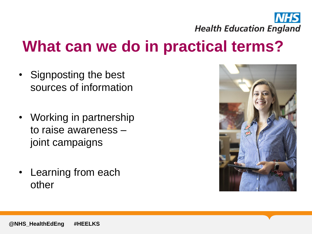

## **What can we do in practical terms?**

- Signposting the best sources of information
- Working in partnership to raise awareness – joint campaigns
- Learning from each other

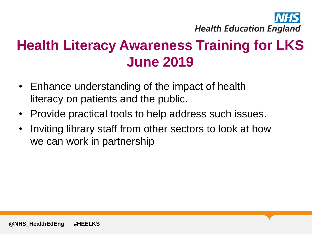

## **Health Literacy Awareness Training for LKS June 2019**

- Enhance understanding of the impact of health literacy on patients and the public.
- Provide practical tools to help address such issues.
- Inviting library staff from other sectors to look at how we can work in partnership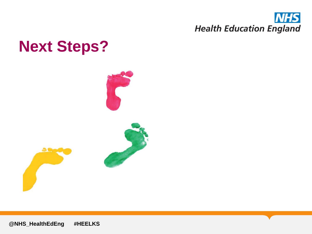

## **Next Steps?**



**@NHS\_HealthEdEng #HEELKS**